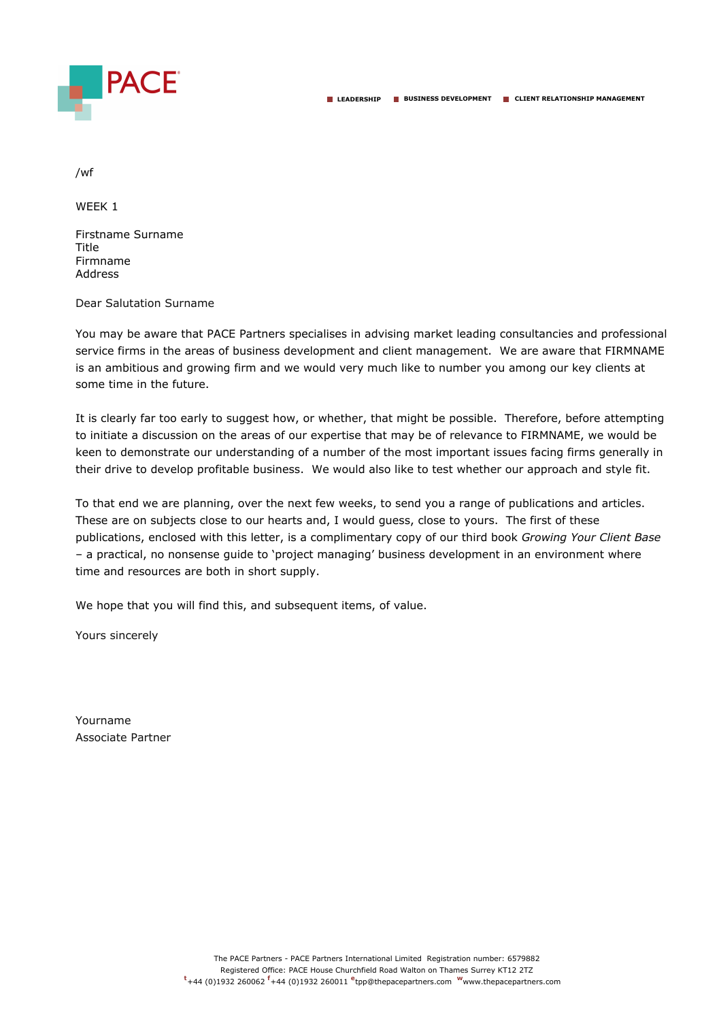

WEEK 1

Firstname Surname Title Firmname Address

Dear Salutation Surname

You may be aware that PACE Partners specialises in advising market leading consultancies and professional service firms in the areas of business development and client management. We are aware that FIRMNAME is an ambitious and growing firm and we would very much like to number you among our key clients at some time in the future.

It is clearly far too early to suggest how, or whether, that might be possible. Therefore, before attempting to initiate a discussion on the areas of our expertise that may be of relevance to FIRMNAME, we would be keen to demonstrate our understanding of a number of the most important issues facing firms generally in their drive to develop profitable business. We would also like to test whether our approach and style fit.

To that end we are planning, over the next few weeks, to send you a range of publications and articles. These are on subjects close to our hearts and, I would guess, close to yours. The first of these publications, enclosed with this letter, is a complimentary copy of our third book *Growing Your Client Base* – a practical, no nonsense guide to 'project managing' business development in an environment where time and resources are both in short supply.

We hope that you will find this, and subsequent items, of value.

Yours sincerely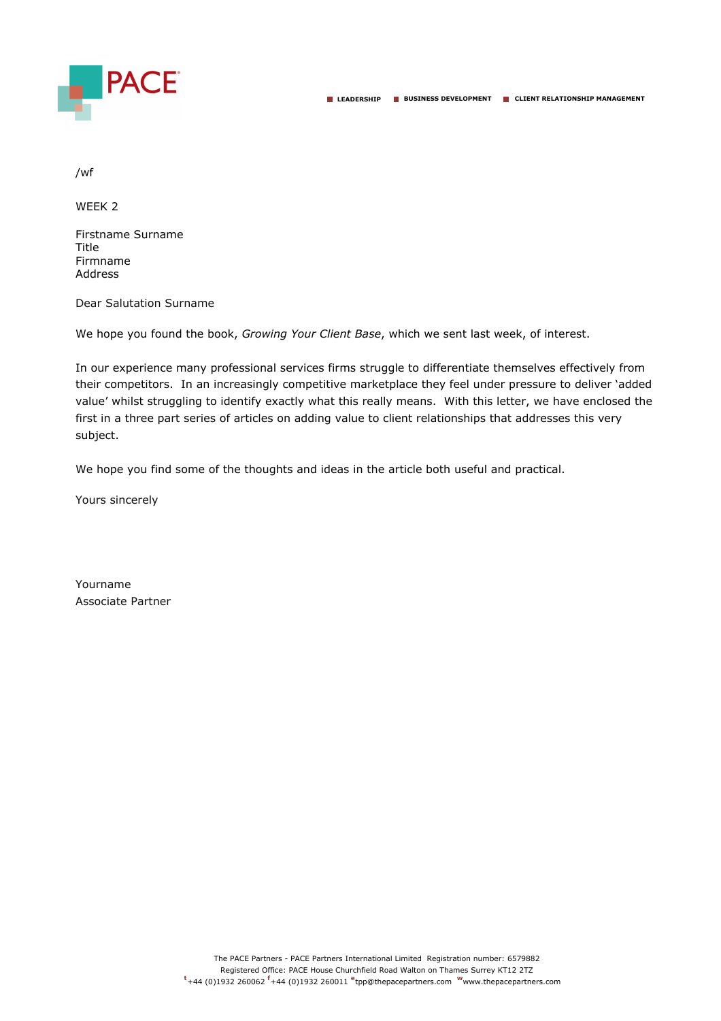

WEEK 2

Firstname Surname Title Firmname Address

Dear Salutation Surname

We hope you found the book, *Growing Your Client Base*, which we sent last week, of interest.

In our experience many professional services firms struggle to differentiate themselves effectively from their competitors. In an increasingly competitive marketplace they feel under pressure to deliver 'added value' whilst struggling to identify exactly what this really means. With this letter, we have enclosed the first in a three part series of articles on adding value to client relationships that addresses this very subject.

We hope you find some of the thoughts and ideas in the article both useful and practical.

Yours sincerely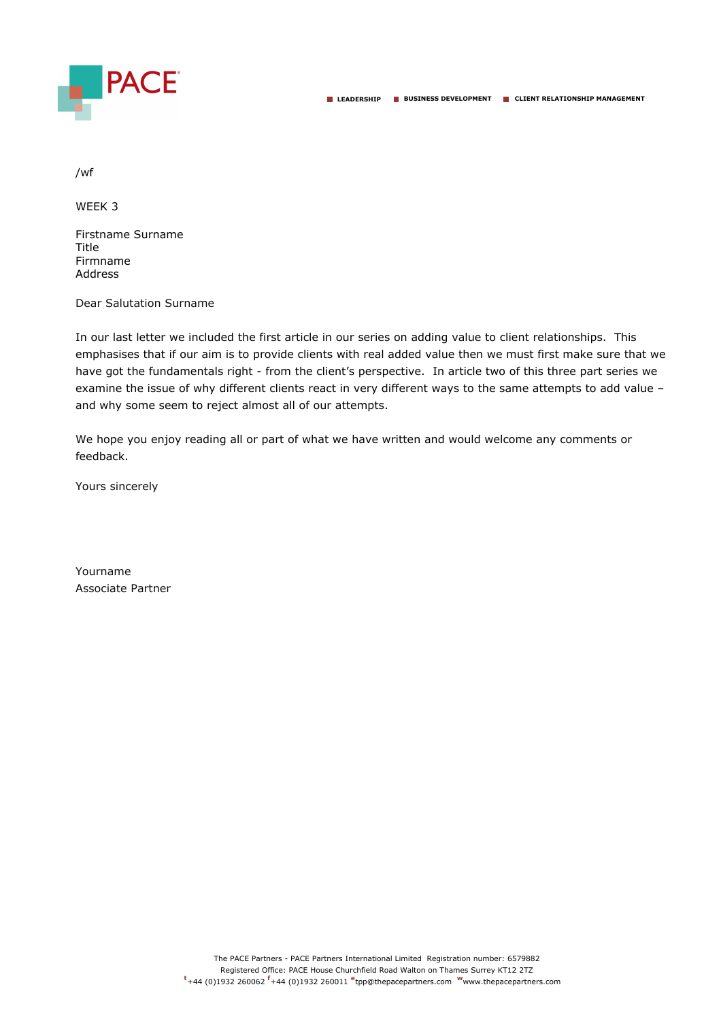

WEEK 3

Firstname Surname Title Firmname Address

Dear Salutation Surname

In our last letter we included the first article in our series on adding value to client relationships. This emphasises that if our aim is to provide clients with real added value then we must first make sure that we have got the fundamentals right - from the client's perspective. In article two of this three part series we examine the issue of why different clients react in very different ways to the same attempts to add value – and why some seem to reject almost all of our attempts.

We hope you enjoy reading all or part of what we have written and would welcome any comments or feedback.

Yours sincerely